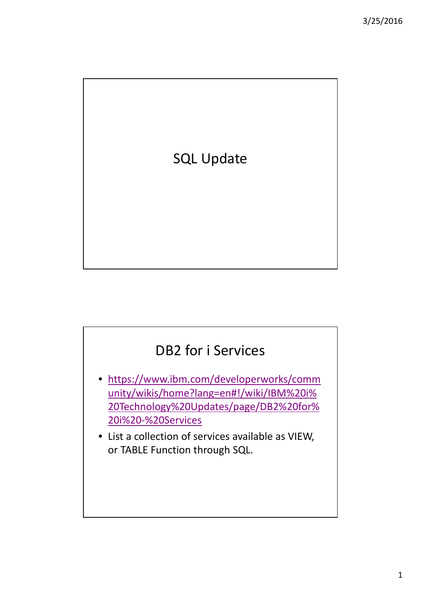

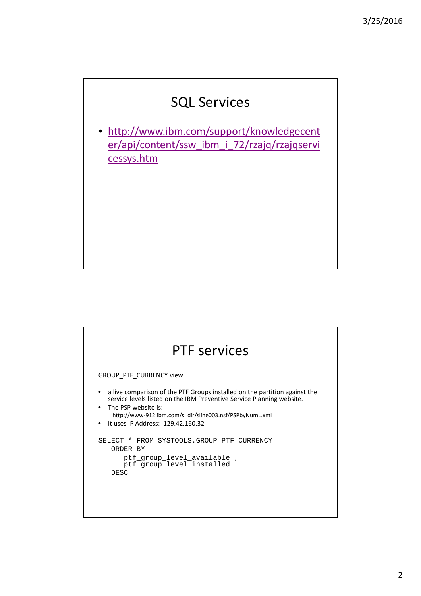## SQL Services

• http://www.ibm.com/support/knowledgecent er/api/content/ssw\_ibm\_i\_72/rzajq/rzajqservi cessys.htm

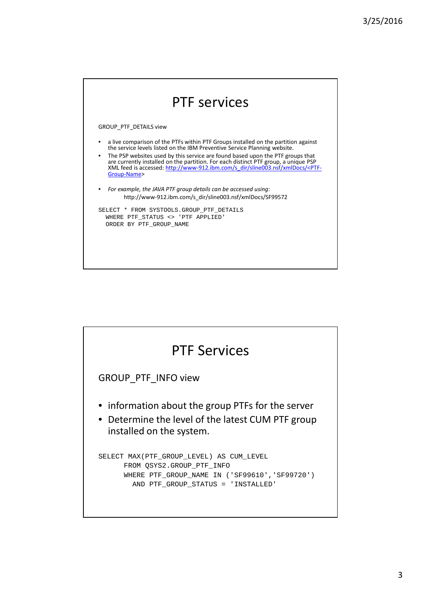

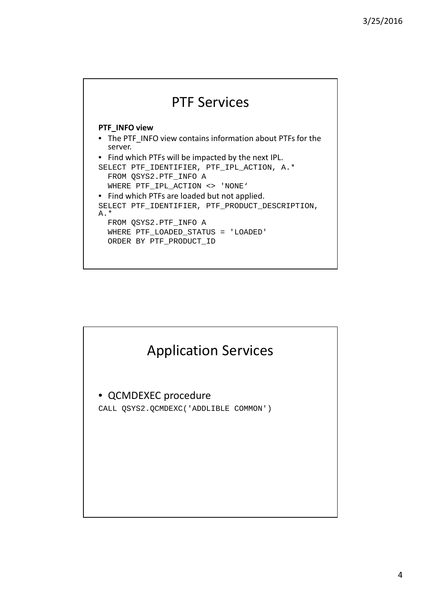

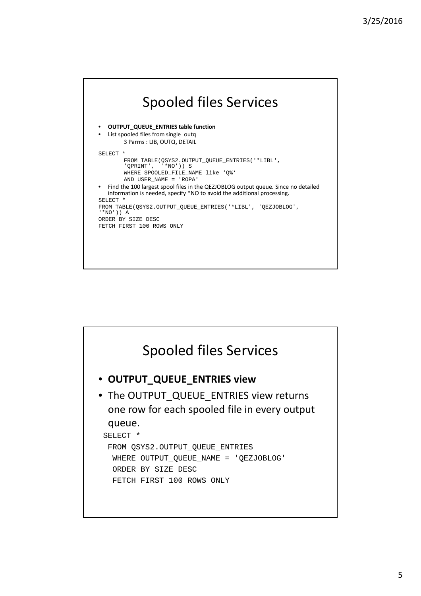

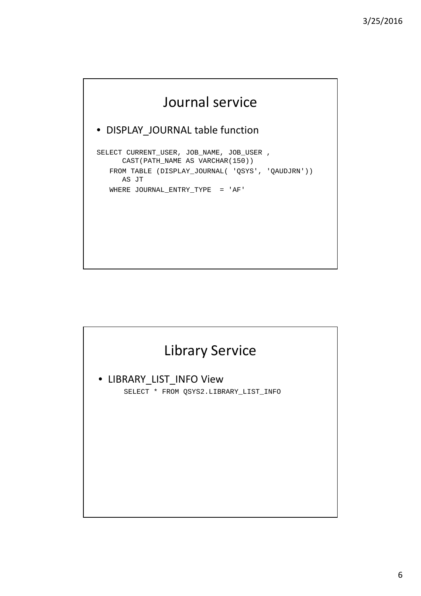# Journal service

#### • DISPLAY\_JOURNAL table function

SELECT CURRENT\_USER, JOB\_NAME, JOB\_USER , CAST(PATH\_NAME AS VARCHAR(150)) FROM TABLE (DISPLAY\_JOURNAL( 'QSYS', 'QAUDJRN')) AS JT WHERE JOURNAL\_ENTRY\_TYPE = 'AF'

# Library Service • LIBRARY\_LIST\_INFO View SELECT \* FROM QSYS2.LIBRARY LIST INFO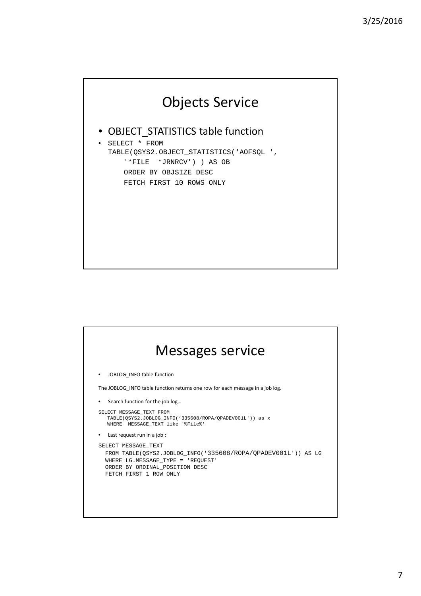# Objects Service

#### • OBJECT\_STATISTICS table function

• SELECT \* FROM TABLE(QSYS2.OBJECT\_STATISTICS('AOFSQL ', '\*FILE \*JRNRCV') ) AS OB ORDER BY OBJSIZE DESC FETCH FIRST 10 ROWS ONLY

### Messages service • JOBLOG\_INFO table function The JOBLOG\_INFO table function returns one row for each message in a job log. • Search function for the job log… SELECT MESSAGE\_TEXT FROM TABLE(QSYS2.JOBLOG\_INFO('335608/ROPA/QPADEV001L')) as x WHERE MESSAGE\_TEXT like '%File%' • Last request run in a job : SELECT MESSAGE\_TEXT FROM TABLE(QSYS2.JOBLOG\_INFO('335608/ROPA/QPADEV001L')) AS LG WHERE LG.MESSAGE\_TYPE = 'REQUEST' ORDER BY ORDINAL\_POSITION DESC FETCH FIRST 1 ROW ONLY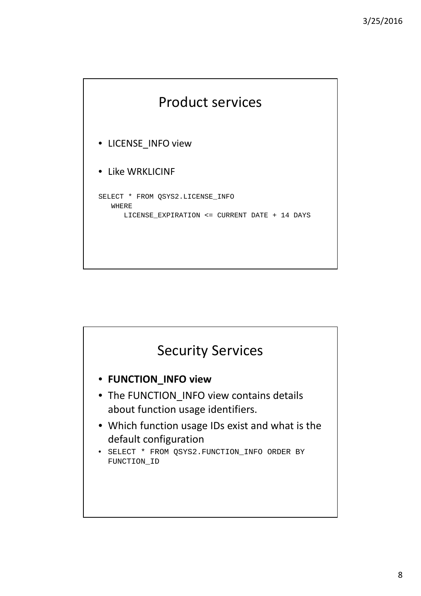

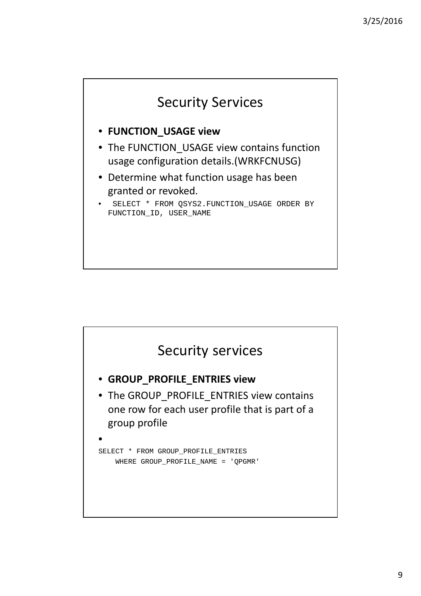

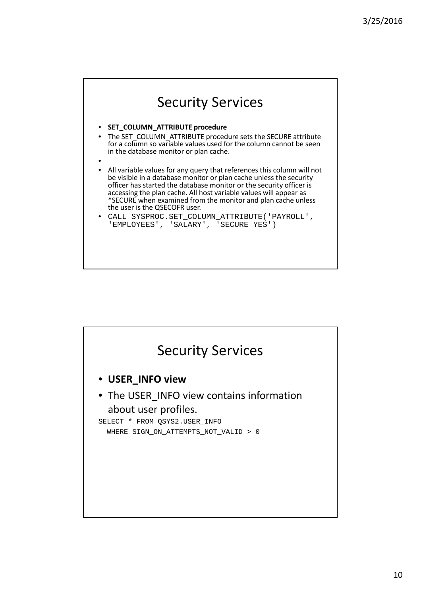

#### • **SET\_COLUMN\_ATTRIBUTE procedure**

- The SET\_COLUMN\_ATTRIBUTE procedure sets the SECURE attribute for a column so variable values used for the column cannot be seen in the database monitor or plan cache.
- •
- All variable values for any query that references this column will not be visible in a database monitor or plan cache unless the security officer has started the database monitor or the security officer is accessing the plan cache. All host variable values will appear as \*SECURE when examined from the monitor and plan cache unless the user is the QSECOFR user.
- CALL SYSPROC.SET\_COLUMN\_ATTRIBUTE('PAYROLL', 'EMPLOYEES', 'SALARY', 'SECURE YES')

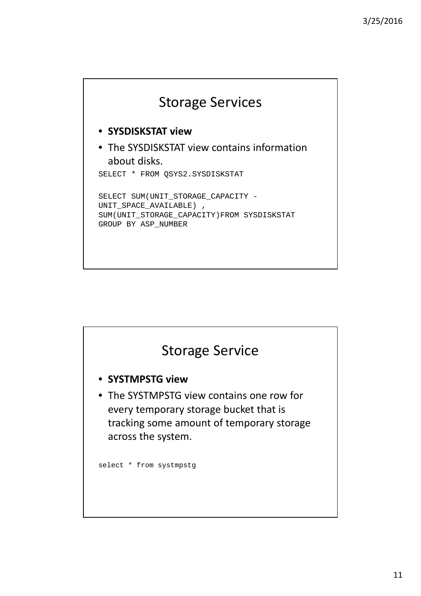

- **SYSDISKSTAT view**
- The SYSDISKSTAT view contains information about disks.

SELECT \* FROM QSYS2.SYSDISKSTAT

SELECT SUM(UNIT\_STORAGE\_CAPACITY - UNIT\_SPACE\_AVAILABLE) , SUM(UNIT\_STORAGE\_CAPACITY)FROM SYSDISKSTAT GROUP BY ASP\_NUMBER

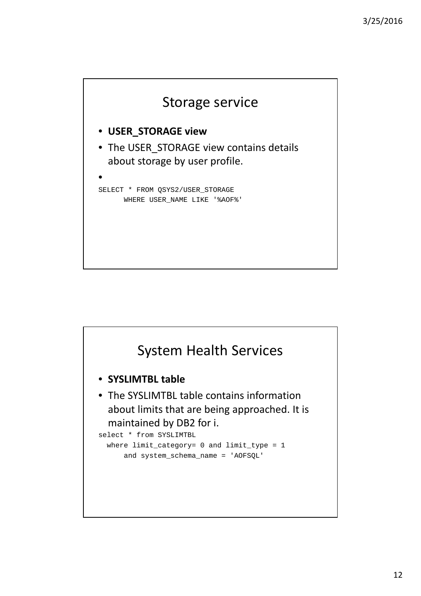

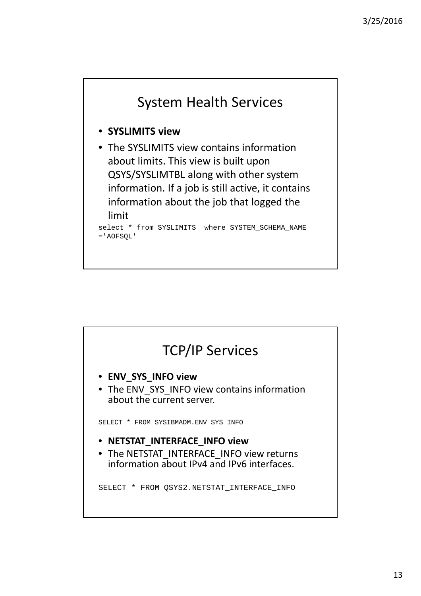

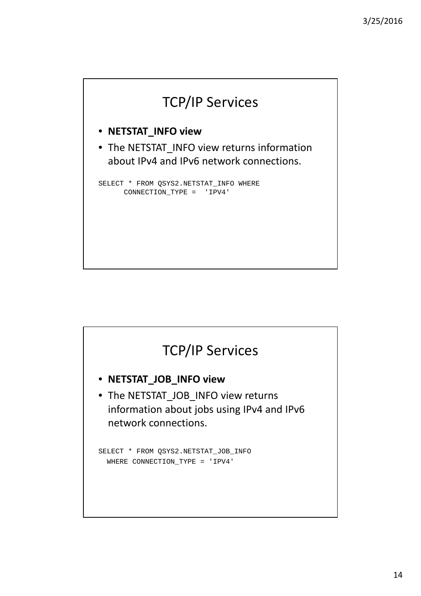

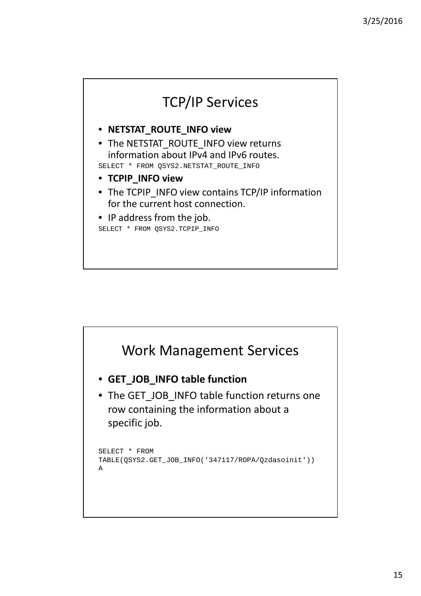

#### • **NETSTAT\_ROUTE\_INFO view**

• The NETSTAT\_ROUTE\_INFO view returns information about IPv4 and IPv6 routes.

SELECT \* FROM QSYS2.NETSTAT ROUTE INFO

- **TCPIP\_INFO view**
- The TCPIP INFO view contains TCP/IP information for the current host connection.
- IP address from the job. SELECT \* FROM QSYS2.TCPIP\_INFO

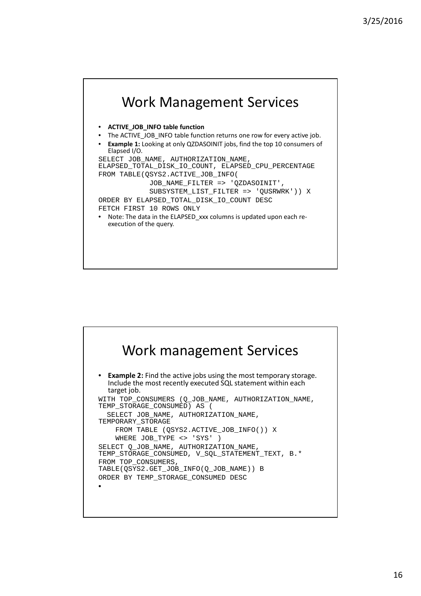

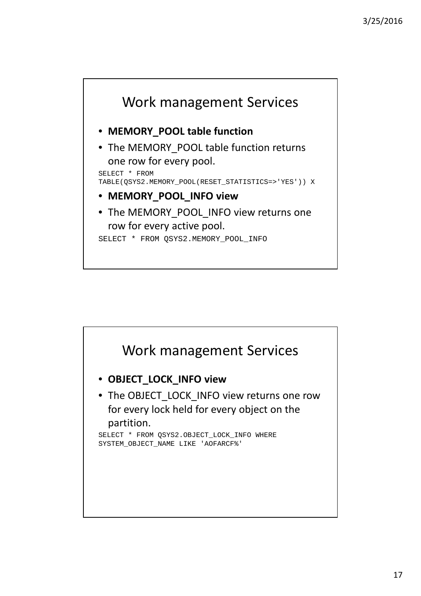

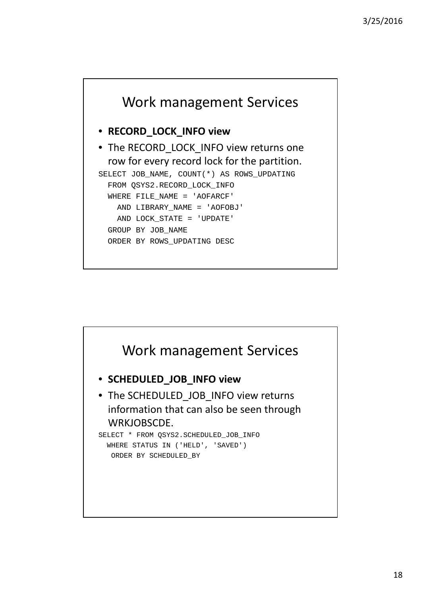

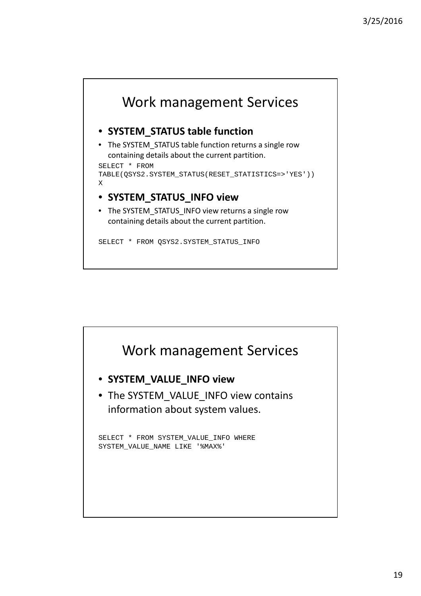